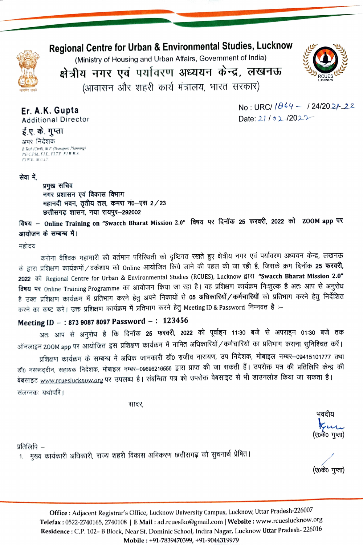

Regional Centre for Urban & Environmental Studies, Lucknow

(Ministry of Housing and Urban Affairs, Government of India)

क्षेत्रीय नगर एवं पर्यावरण अध्ययन केन्द्र, लखनऊ (आवासन और शहरी कार्य मंत्रालय, भारत सरकार)

Er. A.K. Gupta **Additional Director**  No: URC/ $1844 - 124/202 - 22$ Date:  $21/02/2022$ 

ई.ए. के. गुप्ता अपर निदेशक B. Tech (Civil), M.P. (Transport Planning) P.G.C.P.M., F.I.E., F.I.T.P., F.I.W.W.A. F.I.W.E., M.U.I.T

#### सेवा में.

प्रमुख सचिव नगर प्रशासन एवं विकास विभाग महानदी भवन, तृतीय तल, कमरा नं0-एस 2/23 छत्तीसगढ़ शासन, नया रायपुर-292002

विषय – Online Training on "Swacch Bharat Mission 2.0" विषय पर दिनॉक 25 फरवरी, 2022 को ZOOM app पर आयोजन के सम्बन्ध में।

महोदय

करोना वैश्विक महामारी की वर्तमान परिस्थिती को दृष्टिगत रखते हुए क्षेत्रीय नगर एवं पर्यावरण अध्ययन केन्द्र, लखनऊ के द्वारा प्रशिक्षण कार्यक्रमों / वर्कशाप को Online आयोजित किये जाने की पहल की जा रही है, जिसके क्रम दिनॉक 25 फरवरी, 2022 को Regional Centre for Urban & Environmental Studies (RCUES), Lucknow द्वारा "Swacch Bharat Mission 2.0" विषय पर Online Training Programme का आयोजन किया जा रहा है। यह प्रशिक्षण कार्यक्रम निःशुल्क है अतः आप से अनुरोध है उक्त प्रशिक्षण कार्यक्रम में प्रतिभाग करने हेतु अपने निकायों से 05 अधिकारियों / कर्मचारियों को प्रतिभाग करने हेतु निर्देशित करने का कष्ट करे। उक्त प्रशिक्षण कार्यक्रम में प्रतिभाग करने हेतु Meeting ID & Password निम्नवत है :-

# Meeting ID -: 873 9087 8097 Password -: 123456

अतः आप से अनुरोध है कि दिनॉक 25 फरवरी, 2022 को पूर्वाहन 11:30 बजे से अपराहन 01:30 बजे तक ऑनलाइन 200M app पर आयोजित इस प्रशिक्षण कार्यक्रम में नामित अधिकारियों / कर्मचारियों का प्रतिभाग कराना सुनिश्चित करें।

प्रशिक्षण कार्यक्रम के सम्बन्ध में अधिक जानकारी डॉ0 राजीव नारायण, उप निदेशक, मोबाइल नम्बर–09415101777 तथा डॉ0 नसरूद्दीन, सहायक निदेशक, मोबाइल नम्बर–09696216556 द्वारा प्राप्त की जा सकती हैं। उपरोक्त पत्र की प्रतिलिपि केन्द्र की ...<br>बेबसाइट www.rcueslucknow.org पर उपलब्ध है। संबन्धित पत्र को उपरोक्त वेबसाइट से भी डाउनलोड किया जा सकता है। संलग्नकः यथोपरि।

सादर,

भवदीय (ए०कै० गप्ता)

प्रतिलिपि –

1. मुख्य कार्यकारी अधिकारी, राज्य शहरी विकास अभिकरण छत्तीसगढ़ को सुचनार्थ प्रेषित।

(ए0के0 गुप्ता)

Office: Adjacent Registrar's Office, Lucknow University Campus, Lucknow, Uttar Pradesh-226007 Telefax: 0522-2740165, 2740108 | E Mail: ad.rcueslko@gmail.com | Website: www.rcueslucknow.org Residence: C.P. 102- B Block, Near St. Dominic School, Indira Nagar, Lucknow Uttar Pradesh-226016 Mobile: +91-7839470399, +91-9044319979